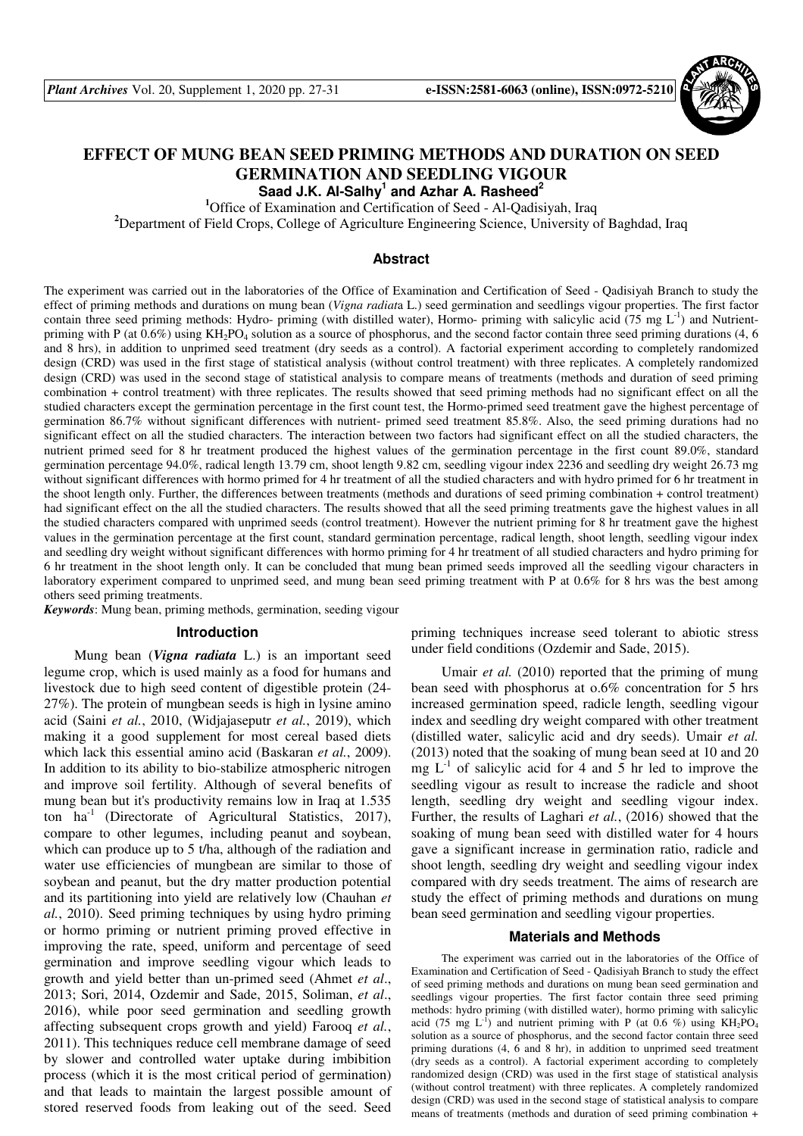

# **EFFECT OF MUNG BEAN SEED PRIMING METHODS AND DURATION ON SEED GERMINATION AND SEEDLING VIGOUR**

**Saad J.K. Al-Salhy<sup>1</sup> and Azhar A. Rasheed<sup>2</sup>**

**<sup>1</sup>**Office of Examination and Certification of Seed - Al-Qadisiyah, Iraq

**<sup>2</sup>**Department of Field Crops, College of Agriculture Engineering Science, University of Baghdad, Iraq

## **Abstract**

The experiment was carried out in the laboratories of the Office of Examination and Certification of Seed - Qadisiyah Branch to study the effect of priming methods and durations on mung bean (*Vigna radiat*a L.) seed germination and seedlings vigour properties. The first factor contain three seed priming methods: Hydro- priming (with distilled water), Hormo- priming with salicylic acid (75 mg  $L^{-1}$ ) and Nutrientpriming with P (at  $0.6\%$ ) using KH<sub>2</sub>PO<sub>4</sub> solution as a source of phosphorus, and the second factor contain three seed priming durations (4, 6) and 8 hrs), in addition to unprimed seed treatment (dry seeds as a control). A factorial experiment according to completely randomized design (CRD) was used in the first stage of statistical analysis (without control treatment) with three replicates. A completely randomized design (CRD) was used in the second stage of statistical analysis to compare means of treatments (methods and duration of seed priming combination + control treatment) with three replicates. The results showed that seed priming methods had no significant effect on all the studied characters except the germination percentage in the first count test, the Hormo-primed seed treatment gave the highest percentage of germination 86.7% without significant differences with nutrient- primed seed treatment 85.8%. Also, the seed priming durations had no significant effect on all the studied characters. The interaction between two factors had significant effect on all the studied characters, the nutrient primed seed for 8 hr treatment produced the highest values of the germination percentage in the first count 89.0%, standard germination percentage 94.0%, radical length 13.79 cm, shoot length 9.82 cm, seedling vigour index 2236 and seedling dry weight 26.73 mg without significant differences with hormo primed for 4 hr treatment of all the studied characters and with hydro primed for 6 hr treatment in the shoot length only. Further, the differences between treatments (methods and durations of seed priming combination + control treatment) had significant effect on the all the studied characters. The results showed that all the seed priming treatments gave the highest values in all the studied characters compared with unprimed seeds (control treatment). However the nutrient priming for 8 hr treatment gave the highest values in the germination percentage at the first count, standard germination percentage, radical length, shoot length, seedling vigour index and seedling dry weight without significant differences with hormo priming for 4 hr treatment of all studied characters and hydro priming for 6 hr treatment in the shoot length only. It can be concluded that mung bean primed seeds improved all the seedling vigour characters in laboratory experiment compared to unprimed seed, and mung bean seed priming treatment with P at 0.6% for 8 hrs was the best among others seed priming treatments.

*Keywords*: Mung bean, priming methods, germination, seeding vigour

#### **Introduction**

Mung bean (*Vigna radiata* L.) is an important seed legume crop, which is used mainly as a food for humans and livestock due to high seed content of digestible protein (24- 27%). The protein of mungbean seeds is high in lysine amino acid (Saini *et al.*, 2010, (Widjajaseputr *et al.*, 2019), which making it a good supplement for most cereal based diets which lack this essential amino acid (Baskaran *et al.*, 2009). In addition to its ability to bio-stabilize atmospheric nitrogen and improve soil fertility. Although of several benefits of mung bean but it's productivity remains low in Iraq at 1.535 ton  $ha^{-1}$  (Directorate of Agricultural Statistics, 2017), compare to other legumes, including peanut and soybean, which can produce up to 5 t/ha, although of the radiation and water use efficiencies of mungbean are similar to those of soybean and peanut, but the dry matter production potential and its partitioning into yield are relatively low (Chauhan *et al.*, 2010). Seed priming techniques by using hydro priming or hormo priming or nutrient priming proved effective in improving the rate, speed, uniform and percentage of seed germination and improve seedling vigour which leads to growth and yield better than un-primed seed (Ahmet *et al*., 2013; Sori, 2014, Ozdemir and Sade, 2015, Soliman, *et al*., 2016), while poor seed germination and seedling growth affecting subsequent crops growth and yield) Farooq *et al.*, 2011). This techniques reduce cell membrane damage of seed by slower and controlled water uptake during imbibition process (which it is the most critical period of germination) and that leads to maintain the largest possible amount of stored reserved foods from leaking out of the seed. Seed priming techniques increase seed tolerant to abiotic stress under field conditions (Ozdemir and Sade, 2015).

Umair *et al.* (2010) reported that the priming of mung bean seed with phosphorus at o.6% concentration for 5 hrs increased germination speed, radicle length, seedling vigour index and seedling dry weight compared with other treatment (distilled water, salicylic acid and dry seeds). Umair *et al.* (2013) noted that the soaking of mung bean seed at 10 and 20 mg  $L^{-1}$  of salicylic acid for 4 and 5 hr led to improve the seedling vigour as result to increase the radicle and shoot length, seedling dry weight and seedling vigour index. Further, the results of Laghari *et al.*, (2016) showed that the soaking of mung bean seed with distilled water for 4 hours gave a significant increase in germination ratio, radicle and shoot length, seedling dry weight and seedling vigour index compared with dry seeds treatment. The aims of research are study the effect of priming methods and durations on mung bean seed germination and seedling vigour properties.

#### **Materials and Methods**

The experiment was carried out in the laboratories of the Office of Examination and Certification of Seed - Qadisiyah Branch to study the effect of seed priming methods and durations on mung bean seed germination and seedlings vigour properties. The first factor contain three seed priming methods: hydro priming (with distilled water), hormo priming with salicylic acid (75 mg  $L^{-1}$ ) and nutrient priming with P (at 0.6 %) using  $KH_2PO_4$ solution as a source of phosphorus, and the second factor contain three seed priming durations  $(4, 6, \text{and } 8, \text{hr})$ , in addition to unprimed seed treatment (dry seeds as a control). A factorial experiment according to completely randomized design (CRD) was used in the first stage of statistical analysis (without control treatment) with three replicates. A completely randomized design (CRD) was used in the second stage of statistical analysis to compare means of treatments (methods and duration of seed priming combination +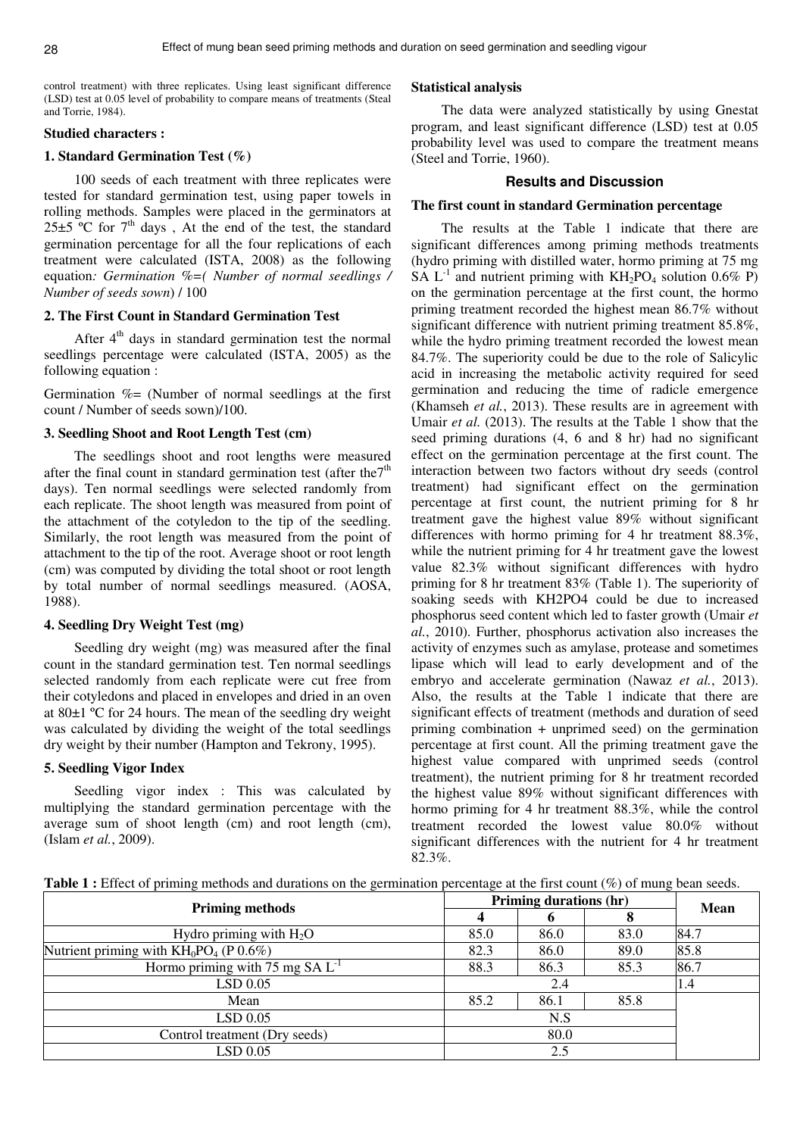control treatment) with three replicates. Using least significant difference (LSD) test at 0.05 level of probability to compare means of treatments (Steal and Torrie, 1984).

#### **Studied characters :**

## **1. Standard Germination Test (%)**

100 seeds of each treatment with three replicates were tested for standard germination test, using paper towels in rolling methods. Samples were placed in the germinators at  $25\pm5$  °C for  $7<sup>th</sup>$  days, At the end of the test, the standard germination percentage for all the four replications of each treatment were calculated (ISTA, 2008) as the following equation*: Germination %=( Number of normal seedlings / Number of seeds sown*) / 100

# **2. The First Count in Standard Germination Test**

After  $4<sup>th</sup>$  days in standard germination test the normal seedlings percentage were calculated (ISTA, 2005) as the following equation :

Germination  $\% =$  (Number of normal seedlings at the first count / Number of seeds sown)/100.

## **3. Seedling Shoot and Root Length Test (cm)**

The seedlings shoot and root lengths were measured after the final count in standard germination test (after the  $7<sup>th</sup>$ days). Ten normal seedlings were selected randomly from each replicate. The shoot length was measured from point of the attachment of the cotyledon to the tip of the seedling. Similarly, the root length was measured from the point of attachment to the tip of the root. Average shoot or root length (cm) was computed by dividing the total shoot or root length by total number of normal seedlings measured. (AOSA, 1988).

# **4. Seedling Dry Weight Test (mg)**

Seedling dry weight (mg) was measured after the final count in the standard germination test. Ten normal seedlings selected randomly from each replicate were cut free from their cotyledons and placed in envelopes and dried in an oven at 80±1 ºC for 24 hours. The mean of the seedling dry weight was calculated by dividing the weight of the total seedlings dry weight by their number (Hampton and Tekrony, 1995).

#### **5. Seedling Vigor Index**

Seedling vigor index : This was calculated by multiplying the standard germination percentage with the average sum of shoot length (cm) and root length (cm), (Islam *et al.*, 2009).

## **Statistical analysis**

The data were analyzed statistically by using Gnestat program, and least significant difference (LSD) test at 0.05 probability level was used to compare the treatment means (Steel and Torrie, 1960).

## **Results and Discussion**

#### **The first count in standard Germination percentage**

The results at the Table 1 indicate that there are significant differences among priming methods treatments (hydro priming with distilled water, hormo priming at 75 mg SA  $L^{-1}$  and nutrient priming with  $KH_2PO_4$  solution 0.6% P) on the germination percentage at the first count, the hormo priming treatment recorded the highest mean 86.7% without significant difference with nutrient priming treatment 85.8%, while the hydro priming treatment recorded the lowest mean 84.7%. The superiority could be due to the role of Salicylic acid in increasing the metabolic activity required for seed germination and reducing the time of radicle emergence (Khamseh *et al.*, 2013). These results are in agreement with Umair *et al.* (2013). The results at the Table 1 show that the seed priming durations (4, 6 and 8 hr) had no significant effect on the germination percentage at the first count. The interaction between two factors without dry seeds (control treatment) had significant effect on the germination percentage at first count, the nutrient priming for 8 hr treatment gave the highest value 89% without significant differences with hormo priming for 4 hr treatment 88.3%, while the nutrient priming for 4 hr treatment gave the lowest value 82.3% without significant differences with hydro priming for 8 hr treatment 83% (Table 1). The superiority of soaking seeds with KH2PO4 could be due to increased phosphorus seed content which led to faster growth (Umair *et al.*, 2010). Further, phosphorus activation also increases the activity of enzymes such as amylase, protease and sometimes lipase which will lead to early development and of the embryo and accelerate germination (Nawaz *et al.*, 2013). Also, the results at the Table 1 indicate that there are significant effects of treatment (methods and duration of seed priming combination + unprimed seed) on the germination percentage at first count. All the priming treatment gave the highest value compared with unprimed seeds (control treatment), the nutrient priming for 8 hr treatment recorded the highest value 89% without significant differences with hormo priming for 4 hr treatment 88.3%, while the control treatment recorded the lowest value 80.0% without significant differences with the nutrient for 4 hr treatment 82.3%.

Table 1 : Effect of priming methods and durations on the germination percentage at the first count (%) of mung bean seeds.

| <b>Priming methods</b>                    | Priming durations (hr) | Mean |      |      |
|-------------------------------------------|------------------------|------|------|------|
|                                           |                        |      |      |      |
| Hydro priming with $H_2O$                 | 85.0                   | 86.0 | 83.0 | 84.7 |
| Nutrient priming with $KH_0PO_4$ (P 0.6%) | 82.3                   | 86.0 | 89.0 | 85.8 |
| Hormo priming with 75 mg $SA L^{-1}$      | 88.3                   | 86.3 | 85.3 | 86.7 |
| LSD 0.05                                  |                        | 1.4  |      |      |
| Mean                                      | 85.2                   | 86.1 | 85.8 |      |
| $LSD$ 0.05                                |                        |      |      |      |
| Control treatment (Dry seeds)             |                        |      |      |      |
| LSD 0.05                                  |                        |      |      |      |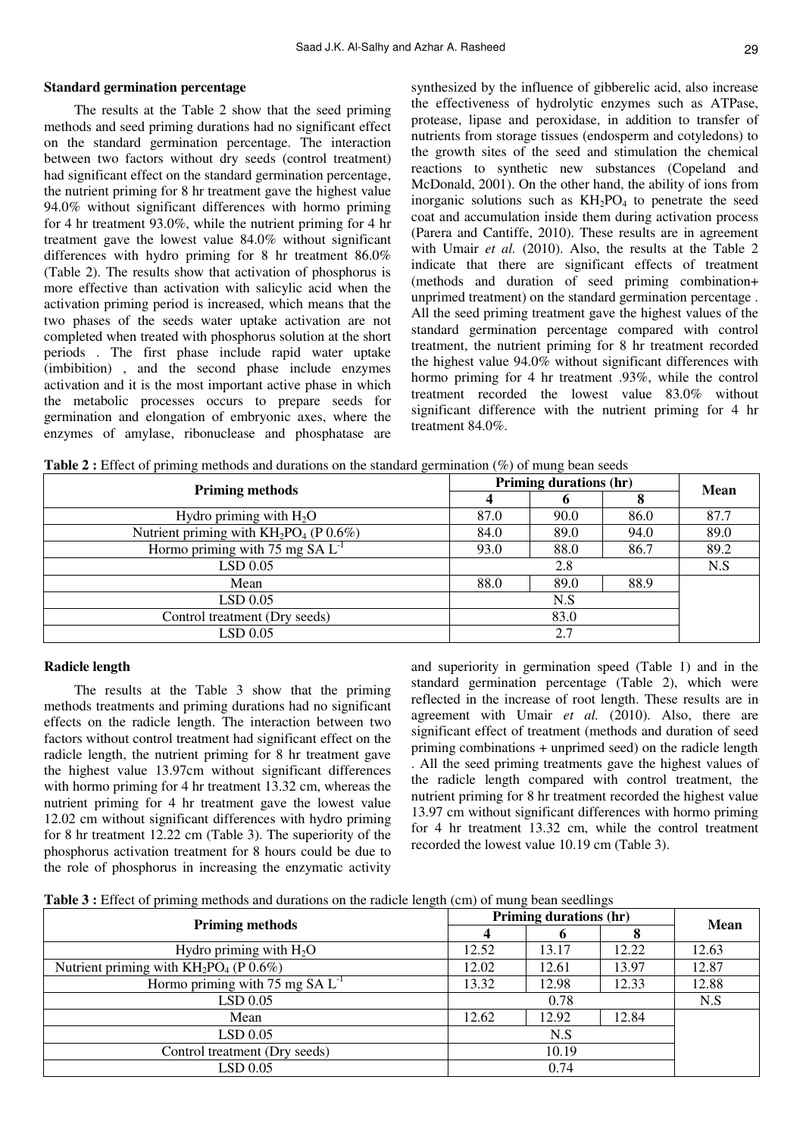#### **Standard germination percentage**

The results at the Table 2 show that the seed priming methods and seed priming durations had no significant effect on the standard germination percentage. The interaction between two factors without dry seeds (control treatment) had significant effect on the standard germination percentage, the nutrient priming for 8 hr treatment gave the highest value 94.0% without significant differences with hormo priming for 4 hr treatment 93.0%, while the nutrient priming for 4 hr treatment gave the lowest value 84.0% without significant differences with hydro priming for 8 hr treatment 86.0% (Table 2). The results show that activation of phosphorus is more effective than activation with salicylic acid when the activation priming period is increased, which means that the two phases of the seeds water uptake activation are not completed when treated with phosphorus solution at the short periods . The first phase include rapid water uptake (imbibition) , and the second phase include enzymes activation and it is the most important active phase in which the metabolic processes occurs to prepare seeds for germination and elongation of embryonic axes, where the enzymes of amylase, ribonuclease and phosphatase are

synthesized by the influence of gibberelic acid, also increase the effectiveness of hydrolytic enzymes such as ATPase, protease, lipase and peroxidase, in addition to transfer of nutrients from storage tissues (endosperm and cotyledons) to the growth sites of the seed and stimulation the chemical reactions to synthetic new substances (Copeland and McDonald, 2001). On the other hand, the ability of ions from inorganic solutions such as  $KH_2PO_4$  to penetrate the seed coat and accumulation inside them during activation process (Parera and Cantiffe, 2010). These results are in agreement with Umair *et al.* (2010). Also, the results at the Table 2 indicate that there are significant effects of treatment (methods and duration of seed priming combination+ unprimed treatment) on the standard germination percentage . All the seed priming treatment gave the highest values of the standard germination percentage compared with control treatment, the nutrient priming for 8 hr treatment recorded the highest value 94.0% without significant differences with hormo priming for 4 hr treatment .93%, while the control treatment recorded the lowest value 83.0% without significant difference with the nutrient priming for 4 hr treatment 84.0%.

| <b>Priming methods</b>                    | Priming durations (hr) | <b>Mean</b> |      |      |
|-------------------------------------------|------------------------|-------------|------|------|
|                                           |                        |             |      |      |
| Hydro priming with $H_2O$                 | 87.0                   | 90.0        | 86.0 | 87.7 |
| Nutrient priming with $KH_2PO_4$ (P 0.6%) | 84.0                   | 89.0        | 94.0 | 89.0 |
| Hormo priming with 75 mg $SA L^{-1}$      | 93.0                   | 89.2        |      |      |
| $LSD$ 0.05                                |                        | N.S         |      |      |
| Mean                                      | 88.0                   | 89.0        | 88.9 |      |
| $LSD$ 0.05                                |                        |             |      |      |
| Control treatment (Dry seeds)             |                        |             |      |      |
| $LSD$ 0.05                                |                        |             |      |      |

**Table 2 :** Effect of priming methods and durations on the standard germination (%) of mung bean seeds

#### **Radicle length**

The results at the Table 3 show that the priming methods treatments and priming durations had no significant effects on the radicle length. The interaction between two factors without control treatment had significant effect on the radicle length, the nutrient priming for 8 hr treatment gave the highest value 13.97cm without significant differences with hormo priming for 4 hr treatment 13.32 cm, whereas the nutrient priming for 4 hr treatment gave the lowest value 12.02 cm without significant differences with hydro priming for 8 hr treatment 12.22 cm (Table 3). The superiority of the phosphorus activation treatment for 8 hours could be due to the role of phosphorus in increasing the enzymatic activity

and superiority in germination speed (Table 1) and in the standard germination percentage (Table 2), which were reflected in the increase of root length. These results are in agreement with Umair *et al.* (2010). Also, there are significant effect of treatment (methods and duration of seed priming combinations + unprimed seed) on the radicle length . All the seed priming treatments gave the highest values of the radicle length compared with control treatment, the nutrient priming for 8 hr treatment recorded the highest value 13.97 cm without significant differences with hormo priming for 4 hr treatment 13.32 cm, while the control treatment recorded the lowest value 10.19 cm (Table 3).

| Table 3 : Effect of priming methods and durations on the radicle length (cm) of mung bean seedlings |  |  |  |  |  |  |  |  |  |  |
|-----------------------------------------------------------------------------------------------------|--|--|--|--|--|--|--|--|--|--|
|-----------------------------------------------------------------------------------------------------|--|--|--|--|--|--|--|--|--|--|

| <b>Priming methods</b>                    |       | Priming durations (hr) |       |             |  |
|-------------------------------------------|-------|------------------------|-------|-------------|--|
|                                           |       |                        |       | <b>Mean</b> |  |
| Hydro priming with $H_2O$                 | 12.52 | 13.17                  | 12.22 | 12.63       |  |
| Nutrient priming with $KH_2PO_4$ (P 0.6%) | 12.02 | 12.61                  | 13.97 | 12.87       |  |
| Hormo priming with 75 mg SA $L^{-1}$      | 13.32 | 12.98                  | 12.33 | 12.88       |  |
| $LSD$ 0.05                                |       | N.S                    |       |             |  |
| Mean                                      | 12.62 | 12.92                  | 12.84 |             |  |
| LSD 0.05                                  |       |                        |       |             |  |
| Control treatment (Dry seeds)             |       |                        |       |             |  |
| LSD 0.05                                  |       |                        |       |             |  |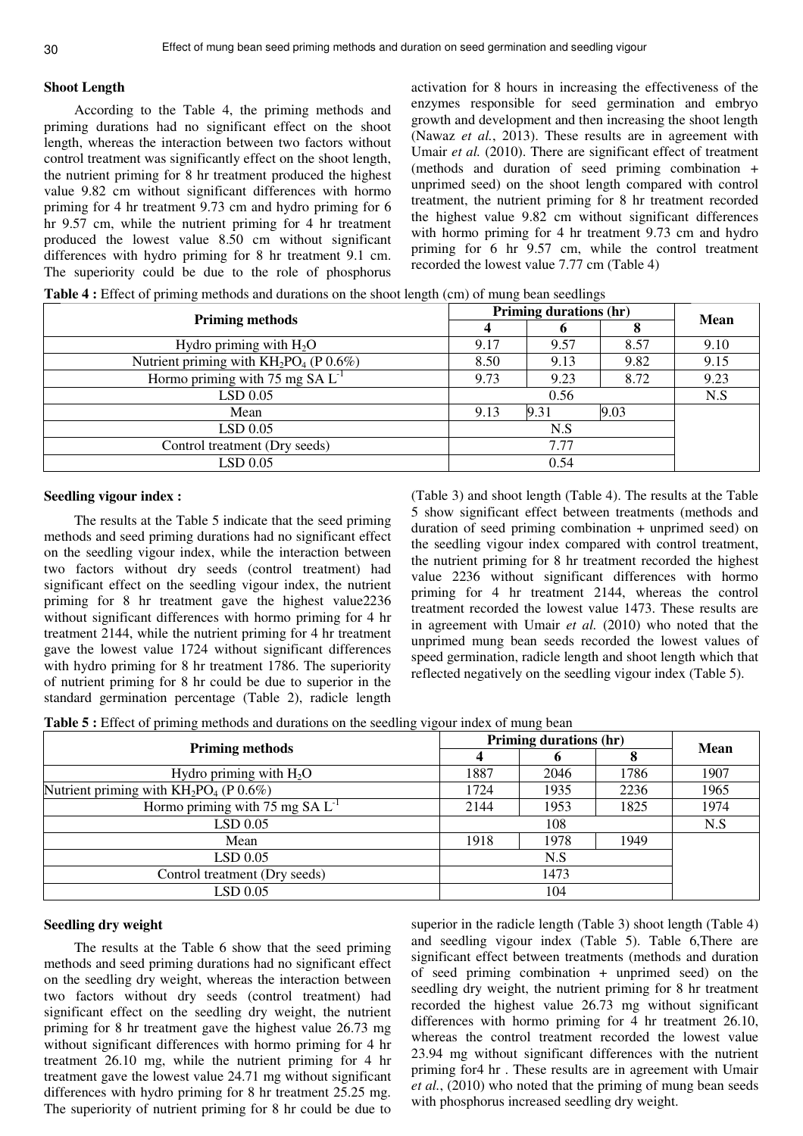## **Shoot Length**

According to the Table 4, the priming methods and priming durations had no significant effect on the shoot length, whereas the interaction between two factors without control treatment was significantly effect on the shoot length, the nutrient priming for 8 hr treatment produced the highest value 9.82 cm without significant differences with hormo priming for 4 hr treatment 9.73 cm and hydro priming for 6 hr 9.57 cm, while the nutrient priming for 4 hr treatment produced the lowest value 8.50 cm without significant differences with hydro priming for 8 hr treatment 9.1 cm. The superiority could be due to the role of phosphorus

activation for 8 hours in increasing the effectiveness of the enzymes responsible for seed germination and embryo growth and development and then increasing the shoot length (Nawaz *et al.*, 2013). These results are in agreement with Umair *et al.* (2010). There are significant effect of treatment (methods and duration of seed priming combination + unprimed seed) on the shoot length compared with control treatment, the nutrient priming for 8 hr treatment recorded the highest value 9.82 cm without significant differences with hormo priming for 4 hr treatment 9.73 cm and hydro priming for 6 hr 9.57 cm, while the control treatment recorded the lowest value 7.77 cm (Table 4)

**Table 4 :** Effect of priming methods and durations on the shoot length (cm) of mung bean seedlings

| <b>Priming methods</b>                    |                      | Priming durations (hr) |      |             |  |
|-------------------------------------------|----------------------|------------------------|------|-------------|--|
|                                           |                      |                        |      | <b>Mean</b> |  |
| Hydro priming with $H_2O$                 | 9.17                 | 9.57                   | 8.57 | 9.10        |  |
| Nutrient priming with $KH_2PO_4$ (P 0.6%) | 8.50                 | 9.13                   | 9.82 | 9.15        |  |
| Hormo priming with 75 mg $SA L^{-1}$      | 9.73                 | 9.23                   | 8.72 | 9.23        |  |
| LSD 0.05                                  |                      | N.S                    |      |             |  |
| Mean                                      | 9.03<br>9.31<br>9.13 |                        |      |             |  |
| LSD 0.05                                  |                      |                        |      |             |  |
| Control treatment (Dry seeds)             |                      |                        |      |             |  |
| LSD 0.05                                  |                      |                        |      |             |  |

# **Seedling vigour index :**

The results at the Table 5 indicate that the seed priming methods and seed priming durations had no significant effect on the seedling vigour index, while the interaction between two factors without dry seeds (control treatment) had significant effect on the seedling vigour index, the nutrient priming for 8 hr treatment gave the highest value2236 without significant differences with hormo priming for 4 hr treatment 2144, while the nutrient priming for 4 hr treatment gave the lowest value 1724 without significant differences with hydro priming for 8 hr treatment 1786. The superiority of nutrient priming for 8 hr could be due to superior in the standard germination percentage (Table 2), radicle length

(Table 3) and shoot length (Table 4). The results at the Table 5 show significant effect between treatments (methods and duration of seed priming combination + unprimed seed) on the seedling vigour index compared with control treatment, the nutrient priming for 8 hr treatment recorded the highest value 2236 without significant differences with hormo priming for 4 hr treatment 2144, whereas the control treatment recorded the lowest value 1473. These results are in agreement with Umair *et al.* (2010) who noted that the unprimed mung bean seeds recorded the lowest values of speed germination, radicle length and shoot length which that reflected negatively on the seedling vigour index (Table 5).

**Table 5 :** Effect of priming methods and durations on the seedling vigour index of mung bean

| <b>Priming methods</b>                    | Priming durations (hr) | <b>Mean</b> |      |      |
|-------------------------------------------|------------------------|-------------|------|------|
|                                           |                        |             |      |      |
| Hydro priming with $H_2O$                 | 1887                   | 2046        | 1786 | 1907 |
| Nutrient priming with $KH_2PO_4$ (P 0.6%) | 1724                   | 1935        | 2236 | 1965 |
| Hormo priming with 75 mg $SA L^{-1}$      | 1953<br>1825<br>2144   |             |      | 1974 |
| LSD 0.05                                  |                        | N.S         |      |      |
| Mean                                      | 1918                   | 1978        | 1949 |      |
| LSD 0.05                                  |                        |             |      |      |
| Control treatment (Dry seeds)             |                        |             |      |      |
| $LSD$ 0.05                                |                        | 104         |      |      |

## **Seedling dry weight**

The results at the Table 6 show that the seed priming methods and seed priming durations had no significant effect on the seedling dry weight, whereas the interaction between two factors without dry seeds (control treatment) had significant effect on the seedling dry weight, the nutrient priming for 8 hr treatment gave the highest value 26.73 mg without significant differences with hormo priming for 4 hr treatment 26.10 mg, while the nutrient priming for 4 hr treatment gave the lowest value 24.71 mg without significant differences with hydro priming for 8 hr treatment 25.25 mg. The superiority of nutrient priming for 8 hr could be due to superior in the radicle length (Table 3) shoot length (Table 4) and seedling vigour index (Table 5). Table 6,There are significant effect between treatments (methods and duration of seed priming combination + unprimed seed) on the seedling dry weight, the nutrient priming for 8 hr treatment recorded the highest value 26.73 mg without significant differences with hormo priming for 4 hr treatment 26.10, whereas the control treatment recorded the lowest value 23.94 mg without significant differences with the nutrient priming for4 hr . These results are in agreement with Umair *et al.*, (2010) who noted that the priming of mung bean seeds with phosphorus increased seedling dry weight.